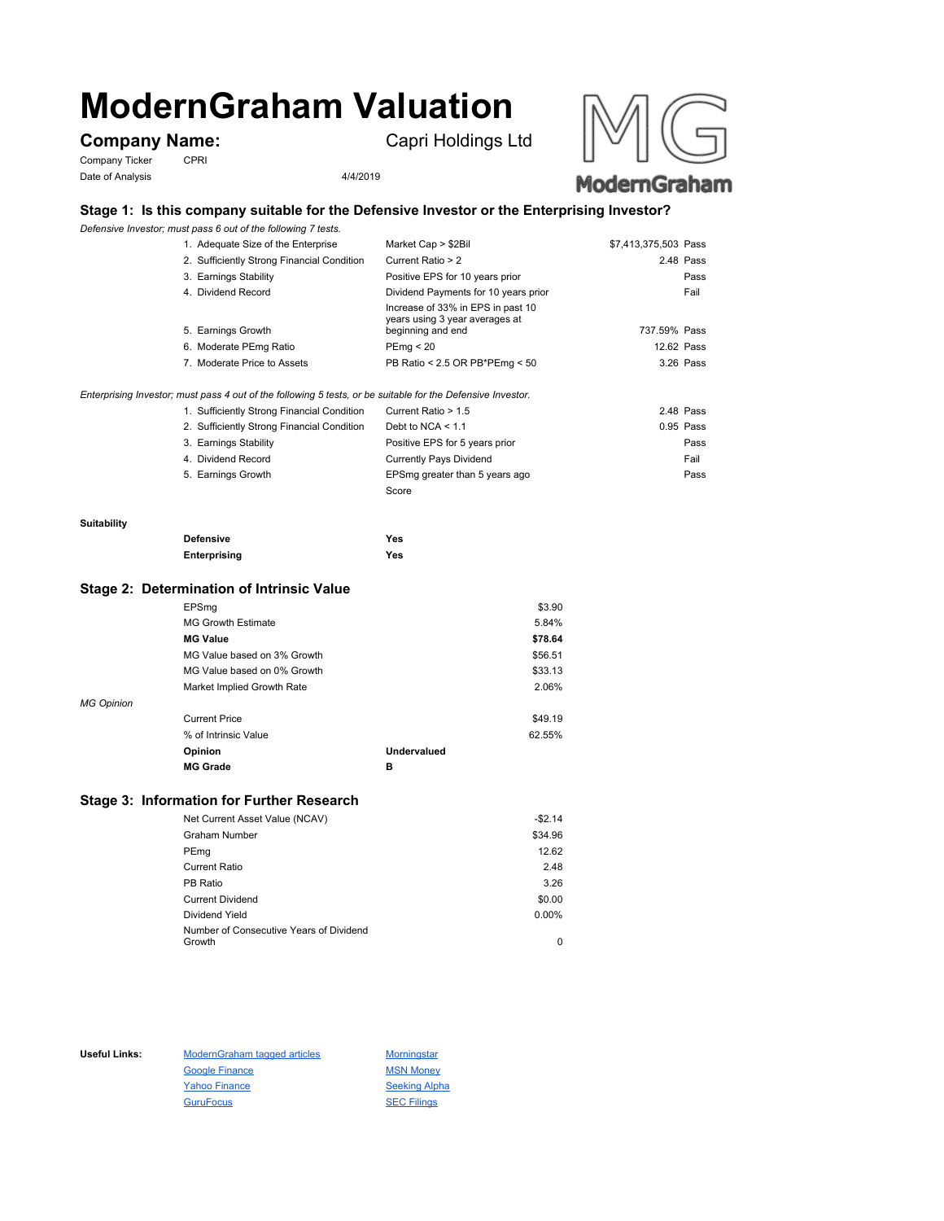# **ModernGraham Valuation**

Company Ticker CPRI Date of Analysis 4/4/2019

Company Name: Capri Holdings Ltd





# **Stage 1: Is this company suitable for the Defensive Investor or the Enterprising Investor?**

*Defensive Investor; must pass 6 out of the following 7 tests.*

| 2. Sufficiently Strong Financial Condition<br>3. Earnings Stability<br>4. Dividend Record | Current Ratio > 2<br>Positive EPS for 10 years prior<br>Dividend Payments for 10 years prior | 2.48 Pass<br>Fail | Pass |
|-------------------------------------------------------------------------------------------|----------------------------------------------------------------------------------------------|-------------------|------|
|                                                                                           |                                                                                              |                   |      |
|                                                                                           |                                                                                              |                   |      |
|                                                                                           |                                                                                              |                   |      |
|                                                                                           | Increase of 33% in EPS in past 10<br>years using 3 year averages at<br>beginning and end     | 737.59% Pass      |      |
|                                                                                           | PEmq < 20                                                                                    | 12.62 Pass        |      |
|                                                                                           | PB Ratio < 2.5 OR PB*PEmg < 50                                                               | 3.26 Pass         |      |
|                                                                                           | 5. Earnings Growth<br>6. Moderate PEmg Ratio<br>7. Moderate Price to Assets                  |                   |      |

### *Enterprising Investor; must pass 4 out of the following 5 tests, or be suitable for the Defensive Investor.*

| 1. Sufficiently Strong Financial Condition | Current Ratio > 1.5            | 2.48 Pass |
|--------------------------------------------|--------------------------------|-----------|
| 2. Sufficiently Strong Financial Condition | Debt to NCA $<$ 1.1            | 0.95 Pass |
| 3. Earnings Stability                      | Positive EPS for 5 years prior | Pass      |
| 4. Dividend Record                         | <b>Currently Pays Dividend</b> | Fail      |
| 5. Earnings Growth                         | EPSmg greater than 5 years ago | Pass      |
|                                            | Score                          |           |

#### **Suitability**

| <b>Defensive</b> | Yes |
|------------------|-----|
| Enterprising     | Yes |

## **Stage 2: Determination of Intrinsic Value**

|                   | EPSmg                       |             | \$3.90  |
|-------------------|-----------------------------|-------------|---------|
|                   | <b>MG Growth Estimate</b>   |             | 5.84%   |
|                   | <b>MG Value</b>             |             | \$78.64 |
|                   | MG Value based on 3% Growth |             | \$56.51 |
|                   | MG Value based on 0% Growth |             | \$33.13 |
|                   | Market Implied Growth Rate  |             | 2.06%   |
| <b>MG Opinion</b> |                             |             |         |
|                   | <b>Current Price</b>        |             | \$49.19 |
|                   | % of Intrinsic Value        |             | 62.55%  |
|                   | Opinion                     | Undervalued |         |
|                   | <b>MG Grade</b>             | в           |         |
|                   |                             |             |         |

# **Stage 3: Information for Further Research**

| Net Current Asset Value (NCAV)          | $-$2.14$ |
|-----------------------------------------|----------|
| Graham Number                           | \$34.96  |
| PEmg                                    | 12.62    |
| Current Ratio                           | 2.48     |
| PB Ratio                                | 3.26     |
| <b>Current Dividend</b>                 | \$0.00   |
| Dividend Yield                          | $0.00\%$ |
| Number of Consecutive Years of Dividend |          |
| Growth                                  | 0        |

Useful Links: ModernGraham tagged articles Morningstar Google Finance MSN Money Yahoo Finance Seeking Alpha GuruFocus SEC Filings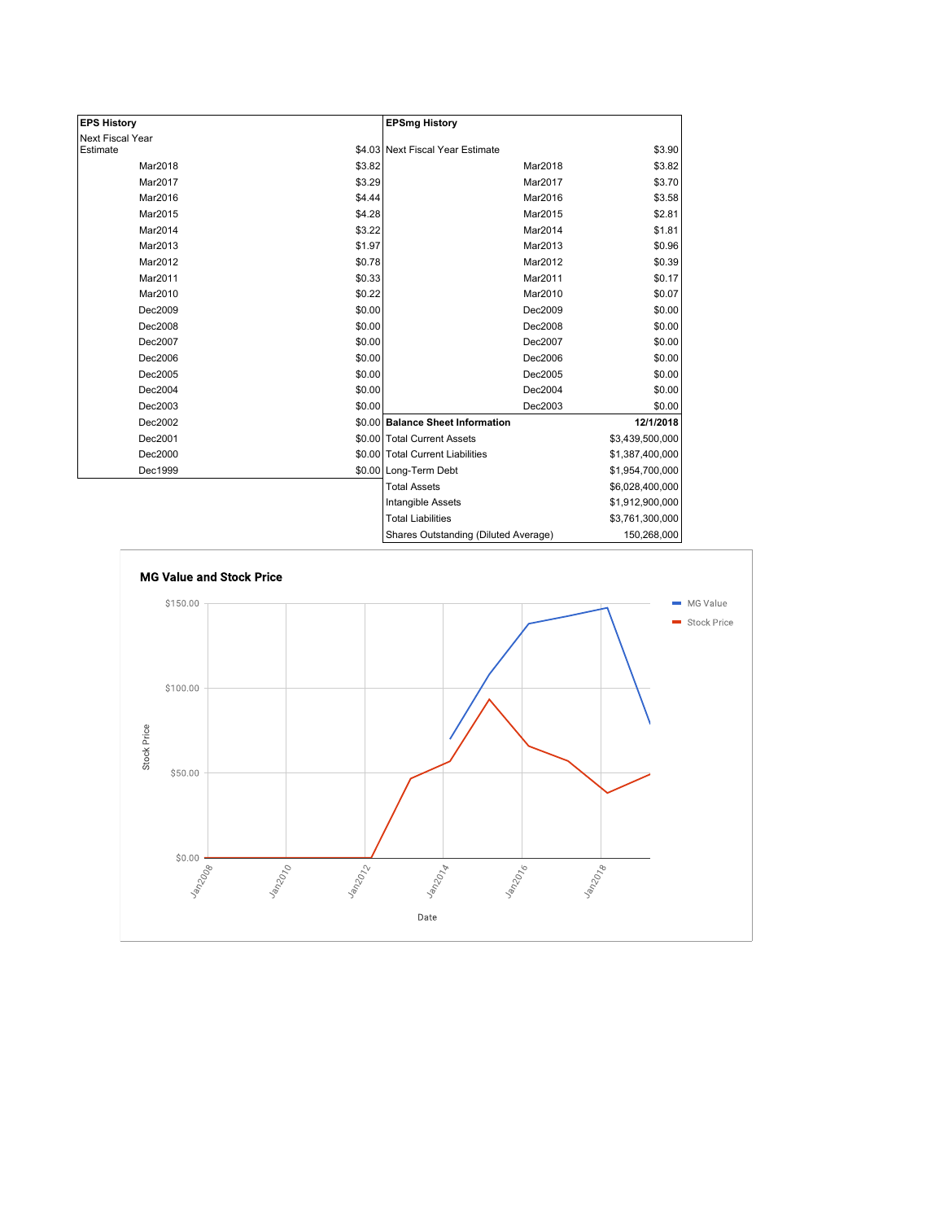| <b>EPS History</b> |        | <b>EPSmg History</b>                 |                 |
|--------------------|--------|--------------------------------------|-----------------|
| Next Fiscal Year   |        |                                      |                 |
| Estimate           |        | \$4.03 Next Fiscal Year Estimate     | \$3.90          |
| Mar2018            | \$3.82 | Mar2018                              | \$3.82          |
| Mar2017            | \$3.29 | Mar2017                              | \$3.70          |
| Mar2016            | \$4.44 | Mar2016                              | \$3.58          |
| Mar2015            | \$4.28 | Mar2015                              | \$2.81          |
| Mar2014            | \$3.22 | Mar2014                              | \$1.81          |
| Mar2013            | \$1.97 | Mar2013                              | \$0.96          |
| Mar2012            | \$0.78 | Mar2012                              | \$0.39          |
| Mar2011            | \$0.33 | Mar2011                              | \$0.17          |
| Mar2010            | \$0.22 | Mar2010                              | \$0.07          |
| Dec2009            | \$0.00 | Dec2009                              | \$0.00          |
| Dec2008            | \$0.00 | Dec2008                              | \$0.00          |
| Dec2007            | \$0.00 | Dec2007                              | \$0.00          |
| Dec2006            | \$0.00 | Dec2006                              | \$0.00          |
| Dec2005            | \$0.00 | Dec2005                              | \$0.00          |
| Dec2004            | \$0.00 | Dec2004                              | \$0.00          |
| Dec2003            | \$0.00 | Dec2003                              | \$0.00          |
| Dec2002            |        | \$0.00 Balance Sheet Information     | 12/1/2018       |
| Dec2001            |        | \$0.00 Total Current Assets          | \$3,439,500,000 |
| Dec2000            |        | \$0.00 Total Current Liabilities     | \$1,387,400,000 |
| Dec1999            |        | \$0.00 Long-Term Debt                | \$1,954,700,000 |
|                    |        | <b>Total Assets</b>                  | \$6,028,400,000 |
|                    |        | Intangible Assets                    | \$1,912,900,000 |
|                    |        | <b>Total Liabilities</b>             | \$3,761,300,000 |
|                    |        | Shares Outstanding (Diluted Average) | 150,268,000     |